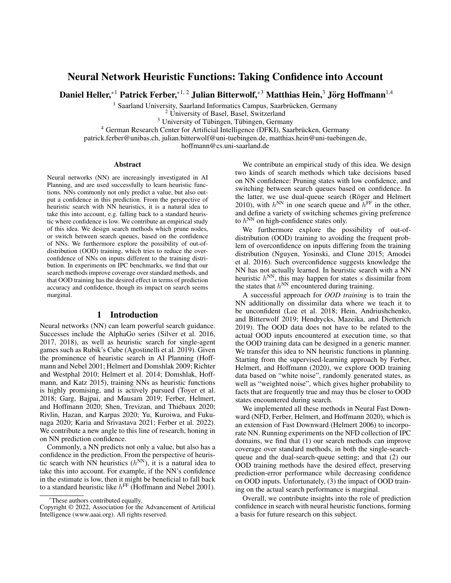# Neural Network Heuristic Functions: Taking Confidence into Account

Daniel Heller, $^{\ast 1}$  Patrick Ferber, $^{\ast 1,\,2}$  Julian Bitterwolf, $^{\ast 3}$  Matthias Hein, $^3$  Jörg Hoffmann $^{1,4}$ 

<sup>1</sup> Saarland University, Saarland Informatics Campus, Saarbrücken, Germany

<sup>2</sup> University of Basel, Basel, Switzerland

 $3$  University of Tübingen, Tübingen, Germany

<sup>4</sup> German Research Center for Artificial Intelligence (DFKI), Saarbrücken, Germany

patrick.ferber@unibas.ch, julian.bitterwolf@uni-tuebingen.de, matthias.hein@uni-tuebingen.de,

hoffmann@cs.uni-saarland.de

#### Abstract

Neural networks (NN) are increasingly investigated in AI Planning, and are used successfully to learn heuristic functions. NNs commonly not only predict a value, but also output a confidence in this prediction. From the perspective of heuristic search with NN heuristics, it is a natural idea to take this into account, e.g. falling back to a standard heuristic where confidence is low. We contribute an empirical study of this idea. We design search methods which prune nodes, or switch between search queues, based on the confidence of NNs. We furthermore explore the possibility of out-ofdistribution (OOD) training, which tries to reduce the overconfidence of NNs on inputs different to the training distribution. In experiments on IPC benchmarks, we find that our search methods improve coverage over standard methods, and that OOD training has the desired effect in terms of prediction accuracy and confidence, though its impact on search seems marginal.

## 1 Introduction

Neural networks (NN) can learn powerful search guidance. Successes include the AlphaGo series (Silver et al. 2016, 2017, 2018), as well as heuristic search for single-agent games such as Rubik's Cube (Agostinelli et al. 2019). Given the prominence of heuristic search in AI Planning (Hoffmann and Nebel 2001; Helmert and Domshlak 2009; Richter and Westphal 2010; Helmert et al. 2014; Domshlak, Hoffmann, and Katz 2015), training NNs as heuristic functions is highly promising, and is actively pursued (Toyer et al. 2018; Garg, Bajpai, and Mausam 2019; Ferber, Helmert, and Hoffmann 2020; Shen, Trevizan, and Thiébaux 2020; Rivlin, Hazan, and Karpas 2020; Yu, Kuroiwa, and Fukunaga 2020; Karia and Srivastava 2021; Ferber et al. 2022). We contribute a new angle to this line of research, honing in on NN prediction confidence.

Commonly, a NN predicts not only a value, but also has a confidence in the prediction. From the perspective of heuristic search with NN heuristics  $(h^{NN})$ , it is a natural idea to take this into account. For example, if the NN's confidence in the estimate is low, then it might be beneficial to fall back to a standard heuristic like  $h^{\text{FF}}$  (Hoffmann and Nebel 2001).

We contribute an empirical study of this idea. We design two kinds of search methods which take decisions based on NN confidence: Pruning states with low confidence, and switching between search queues based on confidence. In the latter, we use dual-queue search (Röger and Helmert 2010), with  $h^{\text{NN}}$  in one search queue and  $h^{\text{FF}}$  in the other, and define a variety of switching schemes giving preference to  $h^{\text{NN}}$  on high-confidence states only.

We furthermore explore the possibility of out-ofdistribution (OOD) training to avoiding the frequent problem of overconfidence on inputs differing from the training distribution (Nguyen, Yosinski, and Clune 2015; Amodei et al. 2016). Such overconfidence suggests knowledge the NN has not actually learned. In heuristic search with a NN heuristic  $h^{\text{NN}}$ , this may happen for states s dissimilar from the states that  $h^{\text{NN}}$  encountered during training.

A successful approach for *OOD training* is to train the NN additionally on dissimilar data where we teach it to be unconfident (Lee et al. 2018; Hein, Andriushchenko, and Bitterwolf 2019; Hendrycks, Mazeika, and Dietterich 2019). The OOD data does not have to be related to the actual OOD inputs encountered at execution time, so that the OOD training data can be designed in a generic manner. We transfer this idea to NN heuristic functions in planning. Starting from the supervised-learning approach by Ferber, Helmert, and Hoffmann (2020), we explore OOD training data based on "white noise", randomly generated states, as well as "weighted noise", which gives higher probability to facts that are frequently true and may thus be closer to OOD states encountered during search.

We implemented all these methods in Neural Fast Downward (NFD, Ferber, Helmert, and Hoffmann 2020), which is an extension of Fast Downward (Helmert 2006) to incorporate NN. Running experiments on the NFD collection of IPC domains, we find that (1) our search methods can improve coverage over standard methods, in both the single-searchqueue and the dual-search-queue setting; and that (2) our OOD training methods have the desired effect, preserving prediction-error performance while decreasing confidence on OOD inputs. Unfortunately, (3) the impact of OOD training on the actual search performance is marginal.

Overall, we contribute insights into the role of prediction confidence in search with neural heuristic functions, forming a basis for future research on this subject.

<sup>\*</sup>These authors contributed equally.

Copyright © 2022, Association for the Advancement of Artificial Intelligence (www.aaai.org). All rights reserved.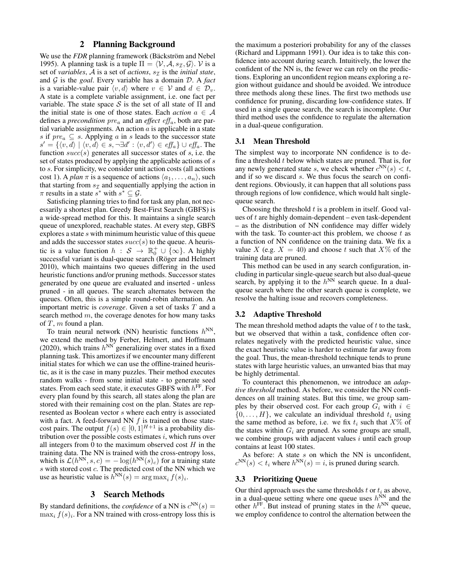### 2 Planning Background

We use the *FDR* planning framework (Bäckström and Nebel 1995). A planning task is a tuple  $\Pi = \langle V, A, s_{\mathcal{I}}, \mathcal{G} \rangle$ . V is a set of *variables*,  $A$  is a set of *actions*,  $s<sub>\mathcal{I}</sub>$  is the *initial state*, and G is the *goal*. Every variable has a domain D. A *fact* is a variable-value pair  $\langle v, d \rangle$  where  $v \in V$  and  $d \in \mathcal{D}_v$ . A state is a complete variable assignment, i.e. one fact per variable. The state space S is the set of all state of  $\Pi$  and the initial state is one of those states. Each *action*  $a \in \mathcal{A}$ defines a *precondition*  $pre_a$  and an *effect*  $eff_a$ , both are partial variable assignments. An action  $a$  is applicable in a state s if  $pre_a \subseteq s$ . Applying a in s leads to the successor state  $s' = \{ \langle v, d \rangle \mid \langle v, d \rangle \in s, \neg \exists d' : \langle v, d' \rangle \in e\mathit{ff}_a \} \cup e\mathit{ff}_a$ . The function  $succ(s)$  generates all successor states of s, i.e. the set of states produced by applying the applicable actions of s to s. For simplicity, we consider unit action costs (all actions cost 1). A *plan*  $\pi$  is a sequence of actions  $\langle a_1, \ldots, a_n \rangle$ , such that starting from  $s_{\mathcal{I}}$  and sequentially applying the action in  $\pi$  results in a state  $s^*$  with  $s^* \subseteq \mathcal{G}$ .

Satisficing planning tries to find for task any plan, not necessarily a shortest plan. Greedy Best-First Search (GBFS) is a wide-spread method for this. It maintains a single search queue of unexplored, reachable states. At every step, GBFS explores a state s with minimum heuristic value of this queue and adds the successor states  $succ(s)$  to the queue. A heuristic is a value function  $h : S \rightarrow \mathbb{R}^+_0 \cup \{\infty\}$ . A highly successful variant is dual-queue search (Röger and Helmert 2010), which maintains two queues differing in the used heuristic functions and/or pruning methods. Successor states generated by one queue are evaluated and inserted - unless pruned - in all queues. The search alternates between the queues. Often, this is a simple round-robin alternation. An important metric is *coverage*. Given a set of tasks T and a search method  $m$ , the coverage denotes for how many tasks of  $T$ ,  $m$  found a plan.

To train neural network (NN) heuristic functions  $h^{\text{NN}}$ , we extend the method by Ferber, Helmert, and Hoffmann (2020), which trains  $h^{\text{NN}}$  generalizing over states in a fixed planning task. This amortizes if we encounter many different initial states for which we can use the offline-trained heuristic, as it is the case in many puzzles. Their method executes random walks - from some initial state - to generate seed states. From each seed state, it executes GBFS with  $h^{\text{FF}}$ . For every plan found by this search, all states along the plan are stored with their remaining cost on the plan. States are represented as Boolean vector s where each entry is associated with a fact. A feed-forward NN  $f$  is trained on those statecost pairs. The output  $f(s) \in [0,1]^{H+1}$  is a probability distribution over the possible costs estimates  $i$ , which runs over all integers from 0 to the maximum observed cost  $H$  in the training data. The NN is trained with the cross-entropy loss, which is  $\mathcal{L}(h^{NN}, s, c) = -\log(h^{NN}(s)_c)$  for a training state  $s$  with stored cost  $c$ . The predicted cost of the NN which we use as heuristic value is  $\bar{h}^{\text{NN}}(s) = \arg \max_i f(s)_i$ .

#### 3 Search Methods

By standard definitions, the *confidence* of a NN is  $c^{NN}(s) =$  $\max_i f(s)_i$ . For a NN trained with cross-entropy loss this is the maximum a posteriori probability for any of the classes (Richard and Lippmann 1991). Our idea is to take this confidence into account during search. Intuitively, the lower the confident of the NN is, the fewer we can rely on the predictions. Exploring an unconfident region means exploring a region without guidance and should be avoided. We introduce three methods along these lines. The first two methods use confidence for pruning, discarding low-confidence states. If used in a single queue search, the search is incomplete. Our third method uses the confidence to regulate the alternation in a dual-queue configuration.

#### 3.1 Mean Threshold

The simplest way to incorporate NN confidence is to define a threshold  $t$  below which states are pruned. That is, for any newly generated state s, we check whether  $c^{NN}(s) < t$ , and if so we discard s. We thus focus the search on confident regions. Obviously, it can happen that all solutions pass through regions of low confidence, which would halt singlequeue search.

Choosing the threshold  $t$  is a problem in itself. Good values of t are highly domain-dependent – even task-dependent – as the distribution of NN confidence may differ widely with the task. To counter-act this problem, we choose  $t$  as a function of NN confidence on the training data. We fix a value X (e.g.  $X = 40$ ) and choose t such that  $X\%$  of the training data are pruned.

This method can be used in any search configuration, including in particular single-queue search but also dual-queue search, by applying it to the  $h^{NN}$  search queue. In a dualqueue search where the other search queue is complete, we resolve the halting issue and recovers completeness.

### 3.2 Adaptive Threshold

The mean threshold method adapts the value of  $t$  to the task, but we observed that within a task, confidence often correlates negatively with the predicted heuristic value, since the exact heuristic value is harder to estimate far away from the goal. Thus, the mean-threshold technique tends to prune states with large heuristic values, an unwanted bias that may be highly detrimental.

To counteract this phenomenon, we introduce an *adaptive threshold* method. As before, we consider the NN confidences on all training states. But this time, we group samples by their observed cost. For each group  $G_i$  with  $i \in$  $\{0, \ldots, H\}$ , we calculate an individual threshold  $t_i$  using the same method as before, i.e. we fix  $t_i$  such that  $X\%$  of the states within  $G_i$  are pruned. As some groups are small, we combine groups with adjacent values  $i$  until each group contains at least 100 states.

As before: A state  $s$  on which the NN is unconfident,  $c^{NN}(s) < t_i$  where  $h^{NN}(s) = i$ , is pruned during search.

## 3.3 Prioritizing Queue

Our third approach uses the same thresholds  $t$  or  $t_i$  as above, in a dual-queue setting where one queue uses  $h^{\text{NN}}$  and the other  $h^{\text{FF}}$ . But instead of pruning states in the  $h^{\text{NN}}$  queue, we employ confidence to control the alternation between the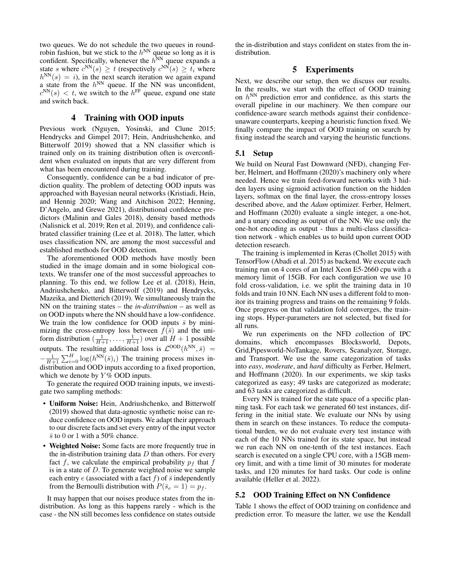two queues. We do not schedule the two queues in roundrobin fashion, but we stick to the  $h^{\text{NN}}$  queue so long as it is confident. Specifically, whenever the  $h^{\text{NN}}$  queue expands a state s where  $c^{NN}(s) \ge t$  (respectively  $c^{NN}(s) \ge t_i$  where  $h^{NN}(s) = i$ , in the next search iteration we again expand a state from the  $h^{NN}$  queue. If the NN was unconfident,  $c^{NN}(s) < t$ , we switch to the  $h^{FF}$  queue, expand one state and switch back.

### 4 Training with OOD inputs

Previous work (Nguyen, Yosinski, and Clune 2015; Hendrycks and Gimpel 2017; Hein, Andriushchenko, and Bitterwolf 2019) showed that a NN classifier which is trained only on its training distribution often is overconfident when evaluated on inputs that are very different from what has been encountered during training.

Consequently, confidence can be a bad indicator of prediction quality. The problem of detecting OOD inputs was approached with Bayesian neural networks (Kristiadi, Hein, and Hennig 2020; Wang and Aitchison 2022; Henning, D'Angelo, and Grewe 2021), distributional confidence predictors (Malinin and Gales 2018), density based methods (Nalisnick et al. 2019; Ren et al. 2019), and confidence calibrated classifier training (Lee et al. 2018). The latter, which uses classification NN, are among the most successful and established methods for OOD detection.

The aforementioned OOD methods have mostly been studied in the image domain and in some biological contexts. We transfer one of the most successful approaches to planning. To this end, we follow Lee et al. (2018), Hein, Andriushchenko, and Bitterwolf (2019) and Hendrycks, Mazeika, and Dietterich (2019). We simultaneously train the NN on the training states – the *in-distribution* – as well as on OOD inputs where the NN should have a low-confidence. We train the low confidence for OOD inputs  $\bar{s}$  by minimizing the cross-entropy loss between  $f(\bar{s})$  and the uniform distribution  $\left(\frac{1}{H+1}, \ldots, \frac{1}{H+1}\right)$  over all  $H + 1$  possible outputs. The resulting additional loss is  $\mathcal{L}^{OOD}(h^{NN},\bar{s})$  =  $-\frac{1}{H+1}\sum_{i=0}^{H} \log(h^{NN}(\bar{s})_i)$  The training process mixes indistribution and OOD inputs according to a fixed proportion, which we denote by  $Y\%$  OOD inputs.

To generate the required OOD training inputs, we investigate two sampling methods:

- Uniform Noise: Hein, Andriushchenko, and Bitterwolf (2019) showed that data-agnostic synthetic noise can reduce confidence on OOD inputs. We adapt their approach to our discrete facts and set every entry of the input vector  $\bar{s}$  to 0 or 1 with a 50% chance.
- Weighted Noise: Some facts are more frequently true in the in-distribution training data  $D$  than others. For every fact f, we calculate the empirical probability  $p_f$  that f is in a state of  $D$ . To generate weighted noise we sample each entry  $e$  (associated with a fact  $f$ ) of  $\overline{s}$  independently from the Bernoulli distribution with  $P(\bar{s}_e = 1) = p_f$ .

It may happen that our noises produce states from the indistribution. As long as this happens rarely - which is the case - the NN still becomes less confidence on states outside

the in-distribution and stays confident on states from the indistribution.

## 5 Experiments

Next, we describe our setup, then we discuss our results. In the results, we start with the effect of OOD training on  $h^{\text{NN}}$  prediction error and confidence, as this starts the overall pipeline in our machinery. We then compare our confidence-aware search methods against their confidenceunaware counterparts, keeping a heuristic function fixed. We finally compare the impact of OOD training on search by fixing instead the search and varying the heuristic functions.

### 5.1 Setup

We build on Neural Fast Downward (NFD), changing Ferber, Helmert, and Hoffmann (2020)'s machinery only where needed. Hence we train feed-forward networks with 3 hidden layers using sigmoid activation function on the hidden layers, softmax on the final layer, the cross-entropy losses described above, and the *Adam* optimizer. Ferber, Helmert, and Hoffmann (2020) evaluate a single integer, a one-hot, and a unary encoding as output of the NN. We use only the one-hot encoding as output - thus a multi-class classification network - which enables us to build upon current OOD detection research.

The training is implemented in Keras (Chollet 2015) with TensorFlow (Abadi et al. 2015) as backend. We execute each training run on 4 cores of an Intel Xeon E5-2660 cpu with a memory limit of 15GB. For each configuration we use 10 fold cross-validation, i.e. we split the training data in 10 folds and train 10 NN. Each NN uses a different fold to monitor its training progress and trains on the remaining 9 folds. Once progress on that validation fold converges, the training stops. Hyper-parameters are not selected, but fixed for all runs.

We run experiments on the NFD collection of IPC domains, which encompasses Blocksworld, Depots, Grid,Pipesworld-NoTankage, Rovers, Scanalyzer, Storage, and Transport. We use the same categorization of tasks into *easy*, *moderate*, and *hard* difficulty as Ferber, Helmert, and Hoffmann (2020). In our experiments, we skip tasks categorized as easy; 49 tasks are categorized as moderate; and 63 tasks are categorized as difficult.

Every NN is trained for the state space of a specific planning task. For each task we generated 60 test instances, differing in the initial state. We evaluate our NNs by using them in search on these instances. To reduce the computational burden, we do not evaluate every test instance with each of the 10 NNs trained for its state space, but instead we run each NN on one-tenth of the test instances. Each search is executed on a single CPU core, with a 15GB memory limit, and with a time limit of 30 minutes for moderate tasks, and 120 minutes for hard tasks. Our code is online available (Heller et al. 2022).

#### 5.2 OOD Training Effect on NN Confidence

Table 1 shows the effect of OOD training on confidence and prediction error. To measure the latter, we use the Kendall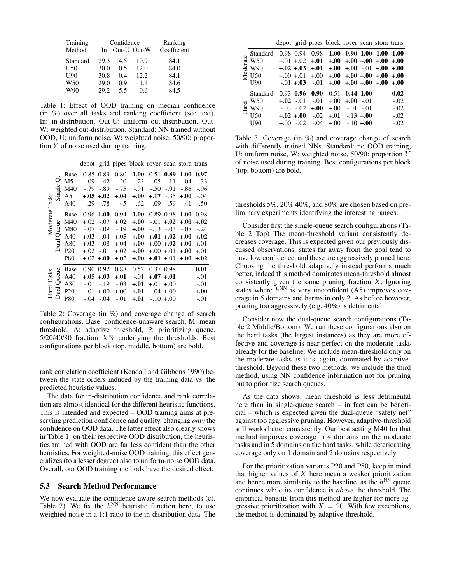| Training<br>Method | In   | Confidence | Out-U Out-W | Ranking<br>Coefficient |
|--------------------|------|------------|-------------|------------------------|
| Standard           | 29.3 | 14.5       | 10.9        | 84.1                   |
| U50                | 30.0 | 0.5        | 12.0        | 84.0                   |
| U <sub>00</sub>    | 30.8 | 0.4        | 12.2.       | 84.1                   |
| W <sub>50</sub>    | 29.0 | 10.9       | 1.1         | 84.6                   |
| W90                | 29.2 | 55         | 0.6         | 84.5                   |

Table 1: Effect of OOD training on median confidence (in %) over all tasks and ranking coefficient (see text). In: in-distribution, Out-U: uniform out-distribution, Out-W: weighted out-distribution. Standard: NN trained without OOD, U: uniform noise, W: weighted noise, 50/90: proportion  $Y$  of noise used during training.

depot grid pipes block rover scan stora trans

| Tasks<br>Moderate |                     | Base            |        | 0.85 0.89    | 0.80    | 1.00     |        | $0.51$ 0.89        | 1.00                        | 0.97   |
|-------------------|---------------------|-----------------|--------|--------------|---------|----------|--------|--------------------|-----------------------------|--------|
|                   | ℺                   | M <sub>5</sub>  | $-.09$ | $-.42$       | $-.20$  | $-.23$   | $-.05$ | $-.11$             | $-.04$                      | $-.33$ |
|                   | $g_{\rm 0}^{\rm 1}$ | M40             | $-.79$ | $-.89$       | $-0.75$ | $-.91$   | $-.50$ | $-91$              | $-.86$                      | $-.96$ |
|                   | $\sin$              | A5              |        | $+.05+.02$   | $+.04$  | $+.00$   | $+.17$ | $-.35$             | $+.00$                      | $-.04$ |
|                   |                     | A40             |        | $-.29-.78$   | $-.45$  | $-.62$   |        | $-.09-.59$         | $-.41$                      | $-.50$ |
|                   |                     | <b>Base</b>     |        | $0.96$ 1.00  | 0.94    | 1.00     |        |                    | $0.89$ $0.98$ $1.00$ $0.98$ |        |
|                   |                     | M40             | $+.02$ | $-.07$       | $+.02$  | $+.00$   |        | $-.01 + .02 + .00$ |                             | $+.02$ |
|                   | Queue               | M80             | $-.07$ | $-.09$       | $-.19$  | $+.00$   | $-.13$ | $-.03$             | $-.08$                      | $-.24$ |
|                   | Dual                | A40             | $+.03$ | $-.04$       | $+.05$  | $+.00 +$ |        | $+.01 + .02 + .00$ |                             | $+.02$ |
|                   |                     | A80             | $+.03$ | $-.08$       | $+.04$  | $+.00$   |        | $+.00 + .02 + .00$ |                             | $+.01$ |
|                   |                     | P <sub>20</sub> |        | $+.02-.01$   | $+.02$  | $+.00$   |        | $+.00 + .01$       | $+.00$                      | $+.01$ |
|                   |                     | <b>P80</b>      |        | $+.02 + .00$ | $+.02$  | $+.00$   |        |                    | $+.01+.01+.00+.02$          |        |
| Tasks<br>Hard     | Queue               | Base            |        | 0.90 0.92    | 0.88    | 0.52     |        | 0.37 0.98          |                             | 0.01   |
|                   |                     | A40             |        | $+.05+.03$   | $+.01$  | $-.01$   |        | $+.07+.01$         |                             | $-.01$ |
|                   |                     | A80             | $-.01$ | $-.19$       | $-.03$  | $+.01$   |        | $+.01 + .00$       |                             | $-.01$ |
|                   | Dual                | P <sub>20</sub> |        | $-.01 + .00$ | $+0.00$ | $+.01$   |        | $-0.04 + 0.00$     |                             | $+.00$ |
|                   |                     | P80             |        | $-.04-.04$   | $-.01$  | $+.01$   |        | $-.10 + .00$       |                             | $-.01$ |

Table 2: Coverage (in %) and coverage change of search configurations. Base: confidence-unaware search, M: mean threshold, A: adaptive threshold, P: prioritizing queue. 5/20/40/80 fraction  $X\%$  underlying the thresholds. Best configurations per block (top, middle, bottom) are bold.

rank correlation coefficient (Kendall and Gibbons 1990) between the state orders induced by the training data vs. the predicted heuristic values.

The data for in-distribution confidence and rank correlation are almost identical for the different heuristic functions. This is intended and expected – OOD training aims at preserving prediction confidence and quality, changing *only* the confidence on OOD data. The latter effect also clearly shows in Table 1: on their respective OOD distribution, the heuristics trained with OOD are far less confident than the other heuristics. For weighted-noise OOD training, this effect generalizes (to a lesser degree) also to uniform-noise OOD data. Overall, our OOD training methods have the desired effect.

### 5.3 Search Method Performance

We now evaluate the confidence-aware search methods (cf. Table 2). We fix the  $h^{NN}$  heuristic function here, to use weighted noise in a 1:1 ratio to the in-distribution data. The

|                                 |                   |  | depot grid pipes block rover scan stora trans           |  |        |
|---------------------------------|-------------------|--|---------------------------------------------------------|--|--------|
| $\frac{1}{2}$ W90<br>$\leq$ U50 | Standard          |  | 0.98 0.94 0.98 1.00 0.90 1.00 1.00 1.00                 |  |        |
|                                 | $\frac{9}{5}$ W50 |  | $+0.01 + 0.02 + 0.01 + 0.00 + 0.00 + 0.00 + 0.00$       |  |        |
|                                 |                   |  | $+.02 + .03 + .01 + .00 + .00 - .01 + .00 + .00$        |  |        |
|                                 |                   |  |                                                         |  |        |
|                                 | U <sub>00</sub>   |  | $-.01 + .03$ $-.01 + .00 + .00 + .00 + .00 + .00 + .00$ |  |        |
| Hard                            | Standard          |  | $0.93$ 0.96 0.90 $0.51$ 0.44 1.00                       |  | 0.02   |
|                                 | W50               |  | $\textbf{+.02}$ -.01 -.01 +.00 $\textbf{+.00}$ -.01     |  | $-.02$ |
|                                 | W90               |  | $-.03$ $-.02$ $+.00$ $+.00$ $-.01$ $-.01$               |  | $-.02$ |
|                                 | U <sub>50</sub>   |  | $+.02+.00-.02+.01-.13+.00$                              |  | $-.02$ |
|                                 | U <sub>90</sub>   |  | $+0.00$ $-0.02$ $-0.04$ $+0.00$ $-0.10$ $+0.00$         |  | $-.02$ |

Table 3: Coverage (in %) and coverage change of search with differently trained NNs. Standard: no OOD training, U: uniform noise, W: weighted noise, 50/90: proportion Y of noise used during training. Best configurations per block (top, bottom) are bold.

thresholds 5%, 20% 40%, and 80% are chosen based on preliminary experiments identifying the interesting ranges.

Consider first the single-queue search configurations (Table 2 Top) The mean-threshold variant consistently decreases coverage. This is expected given our previously discussed observations: states far away from the goal tend to have low confidence, and these are aggressively pruned here. Choosing the threshold adaptively instead performs much better, indeed this method dominates mean-threshold almost consistently given the same pruning fraction  $X$ . Ignoring states where  $h^{NN}$  is very unconfident (A5) improves coverage in 5 domains and harms in only 2. As before however, pruning too aggressively (e.g. 40%) is detrimental.

Consider now the dual-queue search configurations (Table 2 Middle/Bottom). We run these configurations also on the hard tasks (the largest instances) as they are more effective and coverage is near perfect on the moderate tasks already for the baseline. We include mean-threshold only on the moderate tasks as it is, again, dominated by adaptivethreshold. Beyond these two methods, we include the third method, using NN confidence information not for pruning but to prioritize search queues.

As the data shows, mean threshold is less detrimental here than in single-queue search – in fact can be beneficial – which is expected given the dual-queue "safety net" against too aggressive pruning. However, adaptive-threshold still works better consistently. Our best setting M40 for that method improves coverage in 4 domains on the moderate tasks and in 5 domains on the hard tasks, while deteriorating coverage only on 1 domain and 2 domains respectively.

For the prioritization variants P20 and P80, keep in mind that higher values of  $X$  here mean a weaker prioritization and hence more similarity to the baseline, as the  $h^{\text{NN}}$  queue continues while its confidence is *above* the threshold. The empirical benefits from this method are higher for more aggressive prioritization with  $X = 20$ . With few exceptions, the method is dominated by adaptive-threshold.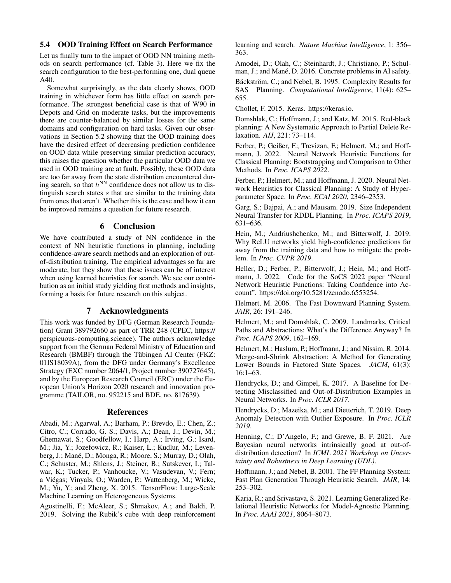## 5.4 OOD Training Effect on Search Performance

Let us finally turn to the impact of OOD NN training methods on search performance (cf. Table 3). Here we fix the search configuration to the best-performing one, dual queue A40.

Somewhat surprisingly, as the data clearly shows, OOD training in whichever form has little effect on search performance. The strongest beneficial case is that of W90 in Depots and Grid on moderate tasks, but the improvements there are counter-balanced by similar losses for the same domains and configuration on hard tasks. Given our observations in Section 5.2 showing that the OOD training does have the desired effect of decreasing prediction confidence on OOD data while preserving similar prediction accuracy, this raises the question whether the particular OOD data we used in OOD training are at fault. Possibly, these OOD data are too far away from the state distribution encountered during search, so that  $h^{NN}$  confidence does not allow us to distinguish search states  $s$  that are similar to the training data from ones that aren't. Whether this is the case and how it can be improved remains a question for future research.

## 6 Conclusion

We have contributed a study of NN confidence in the context of NN heuristic functions in planning, including confidence-aware search methods and an exploration of outof-distribution training. The empirical advantages so far are moderate, but they show that these issues can be of interest when using learned heuristics for search. We see our contribution as an initial study yielding first methods and insights, forming a basis for future research on this subject.

## 7 Acknowledgments

This work was funded by DFG (German Research Foundation) Grant 389792660 as part of TRR 248 (CPEC, https:// perspicuous-computing.science). The authors acknowledge support from the German Federal Ministry of Education and Research (BMBF) through the Tübingen AI Center (FKZ: 01IS18039A), from the DFG under Germany's Excellence Strategy (EXC number 2064/1, Project number 390727645), and by the European Research Council (ERC) under the European Union's Horizon 2020 research and innovation programme (TAILOR, no. 952215 and BDE, no. 817639).

### References

Abadi, M.; Agarwal, A.; Barham, P.; Brevdo, E.; Chen, Z.; Citro, C.; Corrado, G. S.; Davis, A.; Dean, J.; Devin, M.; Ghemawat, S.; Goodfellow, I.; Harp, A.; Irving, G.; Isard, M.; Jia, Y.; Jozefowicz, R.; Kaiser, L.; Kudlur, M.; Levenberg, J.; Mané, D.; Monga, R.; Moore, S.; Murray, D.; Olah, C.; Schuster, M.; Shlens, J.; Steiner, B.; Sutskever, I.; Talwar, K.; Tucker, P.; Vanhoucke, V.; Vasudevan, V.; Fern; a Viegas; Vinyals, O.; Warden, P.; Wattenberg, M.; Wicke, ´ M.; Yu, Y.; and Zheng, X. 2015. TensorFlow: Large-Scale Machine Learning on Heterogeneous Systems.

Agostinelli, F.; McAleer, S.; Shmakov, A.; and Baldi, P. 2019. Solving the Rubik's cube with deep reinforcement learning and search. *Nature Machine Intelligence*, 1: 356– 363.

Amodei, D.; Olah, C.; Steinhardt, J.; Christiano, P.; Schulman, J.; and Mané, D. 2016. Concrete problems in AI safety.

Bäckström, C.; and Nebel, B. 1995. Complexity Results for SAS<sup>+</sup> Planning. *Computational Intelligence*, 11(4): 625– 655.

Chollet, F. 2015. Keras. https://keras.io.

Domshlak, C.; Hoffmann, J.; and Katz, M. 2015. Red-black planning: A New Systematic Approach to Partial Delete Relaxation. *AIJ*, 221: 73–114.

Ferber, P.; Geißer, F.; Trevizan, F.; Helmert, M.; and Hoffmann, J. 2022. Neural Network Heuristic Functions for Classical Planning: Bootstrapping and Comparison to Other Methods. In *Proc. ICAPS 2022*.

Ferber, P.; Helmert, M.; and Hoffmann, J. 2020. Neural Network Heuristics for Classical Planning: A Study of Hyperparameter Space. In *Proc. ECAI 2020*, 2346–2353.

Garg, S.; Bajpai, A.; and Mausam. 2019. Size Independent Neural Transfer for RDDL Planning. In *Proc. ICAPS 2019*, 631–636.

Hein, M.; Andriushchenko, M.; and Bitterwolf, J. 2019. Why ReLU networks yield high-confidence predictions far away from the training data and how to mitigate the problem. In *Proc. CVPR 2019*.

Heller, D.; Ferber, P.; Bitterwolf, J.; Hein, M.; and Hoffmann, J. 2022. Code for the SoCS 2022 paper "Neural Network Heuristic Functions: Taking Confidence into Account". https://doi.org/10.5281/zenodo.6553254.

Helmert, M. 2006. The Fast Downward Planning System. *JAIR*, 26: 191–246.

Helmert, M.; and Domshlak, C. 2009. Landmarks, Critical Paths and Abstractions: What's the Difference Anyway? In *Proc. ICAPS 2009*, 162–169.

Helmert, M.; Haslum, P.; Hoffmann, J.; and Nissim, R. 2014. Merge-and-Shrink Abstraction: A Method for Generating Lower Bounds in Factored State Spaces. *JACM*, 61(3): 16:1–63.

Hendrycks, D.; and Gimpel, K. 2017. A Baseline for Detecting Misclassified and Out-of-Distribution Examples in Neural Networks. In *Proc. ICLR 2017*.

Hendrycks, D.; Mazeika, M.; and Dietterich, T. 2019. Deep Anomaly Detection with Outlier Exposure. In *Proc. ICLR 2019*.

Henning, C.; D'Angelo, F.; and Grewe, B. F. 2021. Are Bayesian neural networks intrinsically good at out-ofdistribution detection? In *ICML 2021 Workshop on Uncertainty and Robustness in Deep Learning (UDL)*.

Hoffmann, J.; and Nebel, B. 2001. The FF Planning System: Fast Plan Generation Through Heuristic Search. *JAIR*, 14: 253–302.

Karia, R.; and Srivastava, S. 2021. Learning Generalized Relational Heuristic Networks for Model-Agnostic Planning. In *Proc. AAAI 2021*, 8064–8073.